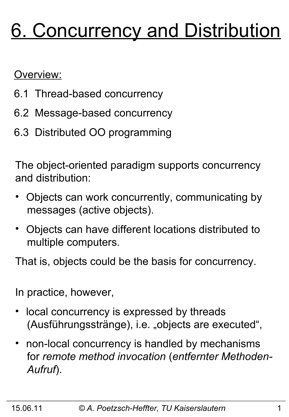# 6. Concurrency and Distribution

Overview:

- 6.1 Thread-based concurrency
- 6.2 Message-based concurrency
- 6.3 Distributed OO programming

The object-oriented paradigm supports concurrency and distribution:

- Objects can work concurrently, communicating by messages (active objects).
- Objects can have different locations distributed to multiple computers.

That is, objects could be the basis for concurrency.

In practice, however,

- local concurrency is expressed by threads (Ausführungsstränge), i.e. "objects are executed",
- non-local concurrency is handled by mechanisms for *remote method invocation* (*entfernter Methoden- Aufruf*).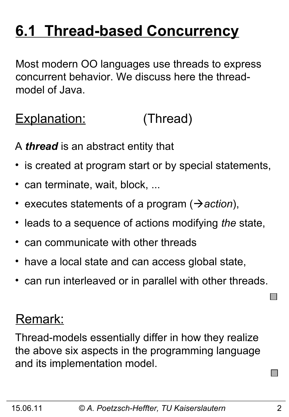## **6.1 Thread-based Concurrency**

Most modern OO languages use threads to express concurrent behavior. We discuss here the threadmodel of Java.

Explanation: (Thread)

A *thread* is an abstract entity that

- is created at program start or by special statements,
- can terminate, wait, block, ...
- executes statements of a program ( $\rightarrow$  *action*),
- leads to a sequence of actions modifying *the* state,
- can communicate with other threads
- have a local state and can access global state,
- can run interleaved or in parallel with other threads.

### Remark:

Thread-models essentially differ in how they realize the above six aspects in the programming language and its implementation model.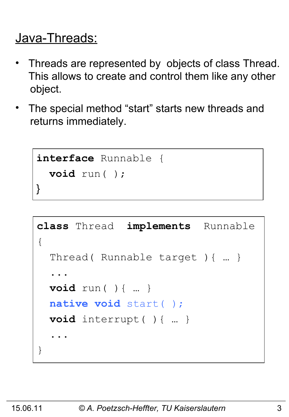### Java-Threads:

- Threads are represented by objects of class Thread. This allows to create and control them like any other object.
- The special method "start" starts new threads and returns immediately.

```
interface Runnable {
   void run( );
}
```

```
class Thread implements Runnable
{
   Thread( Runnable target ){ … }
 ...
   void run( ){ … }
   native void start( );
   void interrupt( ){ … }
 ...
}
```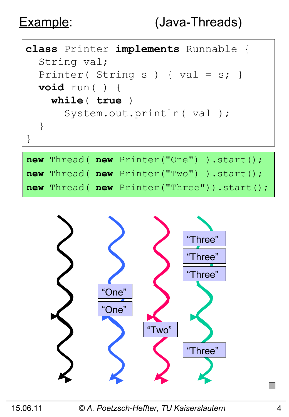

|  | <b>new</b> Thread( $new$ Printer("One") ).start(); |
|--|----------------------------------------------------|
|  | <b>new</b> Thread( $new$ Printer("Two") ).start(); |
|  | new Thread( new Printer("Three")).start();         |



15.06.11 *© A. Poetzsch-Heffter, TU Kaiserslautern* 4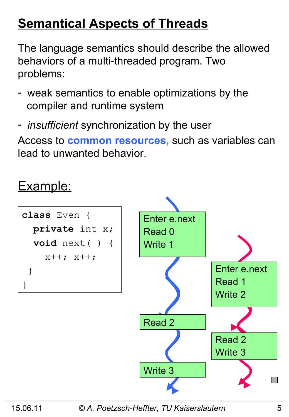### **Semantical Aspects of Threads**

The language semantics should describe the allowed behaviors of a multi-threaded program. Two problems:

- weak semantics to enable optimizations by the compiler and runtime system
- *insufficient* synchronization by the user

Access to **common resources,** such as variables can lead to unwanted behavior.

### Example:



15.06.11 *© A. Poetzsch-Heffter, TU Kaiserslautern* 5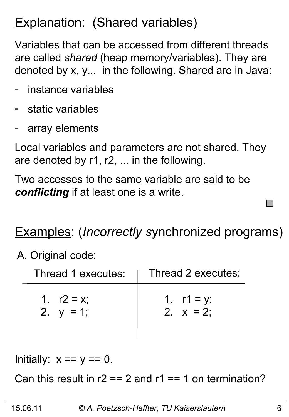### **Explanation: (Shared variables)**

Variables that can be accessed from different threads are called *shared* (heap memory/variables). They are denoted by x, y... in the following. Shared are in Java:

- instance variables
- static variables
- array elements

Local variables and parameters are not shared. They are denoted by r1, r2, ... in the following.

Two accesses to the same variable are said to be *conflicting* if at least one is a write.

### Examples: (*Incorrectly s*ynchronized programs)

A. Original code:

| Thread 1 executes: | Thread 2 executes: |
|--------------------|--------------------|
| 1. $r2 = x$ ;      | 1. $r1 = y$ ;      |
| 2. $y = 1$ ;       | 2. $x = 2$ :       |

Initially:  $x == y == 0$ .

Can this result in  $r2 == 2$  and  $r1 == 1$  on termination?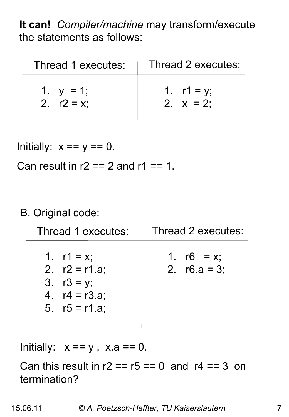**It can!** *Compiler/machine* may transform/execute the statements as follows:

| Thread 1 executes: | Thread 2 executes: |
|--------------------|--------------------|
| 1. $y = 1$ ;       | 1. $r1 = y$ ;      |
| 2. $r2 = x$        | 2. $x = 2$ :       |

Initially:  $x == y == 0$ .

Can result in  $r2 == 2$  and  $r1 == 1$ .

#### B. Original code:

| Thread 1 executes:                                                                       | Thread 2 executes:               |
|------------------------------------------------------------------------------------------|----------------------------------|
| 1. $r1 = x$ ;<br>2. $r2 = r1.a;$<br>3. $r3 = y$ ;<br>4. $r4 = r3.a$ ;<br>5. $r5 = r1.a;$ | 1. $r6 = x$ ;<br>2. $r6.a = 3$ ; |

Initially:  $x == y$ ,  $x.a == 0$ .

Can this result in  $r2 = r5 == 0$  and  $r4 == 3$  on termination?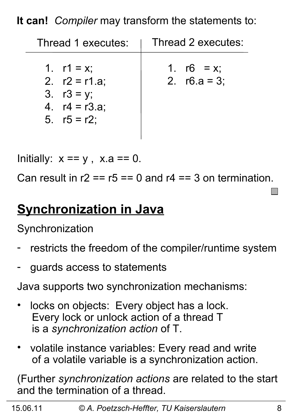**It can!** *Compiler* may transform the statements to:

| Thread 1 executes:                                                                     | Thread 2 executes:               |
|----------------------------------------------------------------------------------------|----------------------------------|
| 1. $r1 = x$ ;<br>2. $r2 = r1.a;$<br>3. $r3 = y$ ;<br>4. $r4 = r3.a;$<br>5. $r5 = r2$ ; | 1. $r6 = x$ ;<br>2. $r6.a = 3$ ; |

Initially:  $x == y$ ,  $x.a == 0$ .

Can result in  $r2 = r5 == 0$  and  $r4 == 3$  on termination.

### **Synchronization in Java**

**Synchronization** 

- restricts the freedom of the compiler/runtime system
- guards access to statements

Java supports two synchronization mechanisms:

- locks on objects: Every object has a lock. Every lock or unlock action of a thread T is a *synchronization action* of T.
- volatile instance variables: Every read and write of a volatile variable is a synchronization action.

(Further *synchronization actions* are related to the start and the termination of a thread.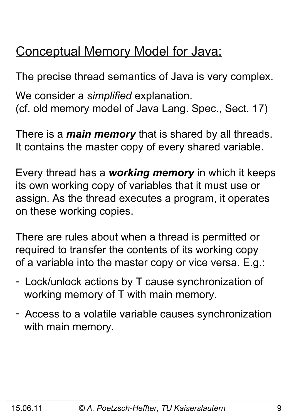### Conceptual Memory Model for Java:

The precise thread semantics of Java is very complex. We consider a *simplified* explanation. (cf. old memory model of Java Lang. Spec., Sect. 17)

There is a *main memory* that is shared by all threads. It contains the master copy of every shared variable.

Every thread has a *working memory* in which it keeps its own working copy of variables that it must use or assign. As the thread executes a program, it operates on these working copies.

There are rules about when a thread is permitted or required to transfer the contents of its working copy of a variable into the master copy or vice versa. E.g.:

- Lock/unlock actions by T cause synchronization of working memory of T with main memory.
- Access to a volatile variable causes synchronization with main memory.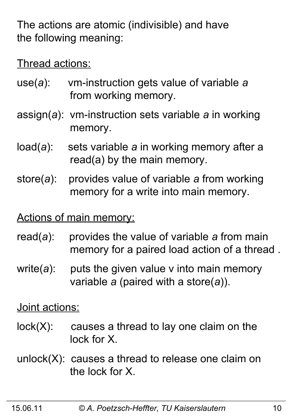The actions are atomic (indivisible) and have the following meaning:

Thread actions:

- use(*a*): vm-instruction gets value of variable *a* from working memory.
- assign(*a*): vm-instruction sets variable *a* in working memory.
- load(*a*): sets variable *a* in working memory after a read(a) by the main memory.
- store(*a*): provides value of variable *a* from working memory for a write into main memory.

Actions of main memory:

- read(*a*): provides the value of variable *a* from main memory for a paired load action of a thread .
- write(*a*): puts the given value v into main memory variable *a* (paired with a store(*a*)).

Joint actions:

- $lock(X)$ : causes a thread to lay one claim on the lock for X.
- unlock(X): causes a thread to release one claim on the lock for X.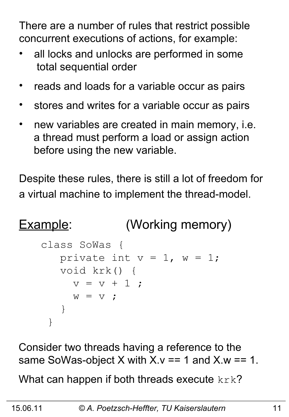There are a number of rules that restrict possible concurrent executions of actions, for example:

- all locks and unlocks are performed in some total sequential order
- reads and loads for a variable occur as pairs
- stores and writes for a variable occur as pairs
- new variables are created in main memory, i.e. a thread must perform a load or assign action before using the new variable.

Despite these rules, there is still a lot of freedom for a virtual machine to implement the thread-model.

```
Example: (Working memory)
```

```
class SoWas {
   private int v = 1, w = 1;
    void krk() { 
     v = v + 1 ;
     W = V ;
    }
 }
```
Consider two threads having a reference to the same SoWas-object X with  $X \vee y = 1$  and  $X \vee y = 1$ .

What can happen if both threads execute  $k r k$ ?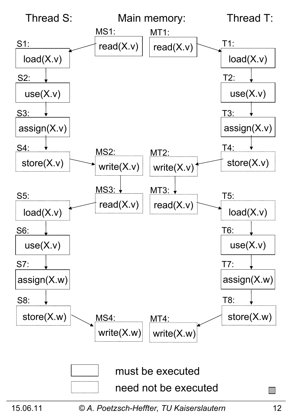

<sup>15.06.11</sup> *© A. Poetzsch-Heffter, TU Kaiserslautern* 12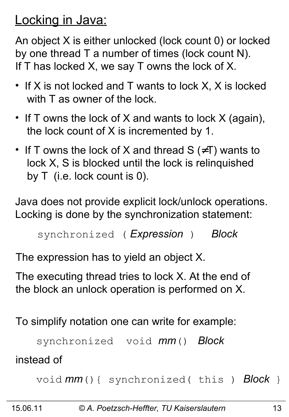### Locking in Java:

An object X is either unlocked (lock count 0) or locked by one thread T a number of times (lock count N). If T has locked X, we say T owns the lock of X.

- If X is not locked and T wants to lock X, X is locked with T as owner of the lock.
- If T owns the lock of X and wants to lock X (again), the lock count of X is incremented by 1.
- If T owns the lock of X and thread  $S$  ( $\neq$ T) wants to lock X, S is blocked until the lock is relinquished by T (i.e. lock count is 0).

Java does not provide explicit lock/unlock operations. Locking is done by the synchronization statement:

```
synchronized ( Expression ) Block
```
The expression has to yield an object X.

The executing thread tries to lock X. At the end of the block an unlock operation is performed on X.

To simplify notation one can write for example:

```
 synchronized void mm() Block
```
instead of

```
 void mm(){ synchronized( this ) Block }
```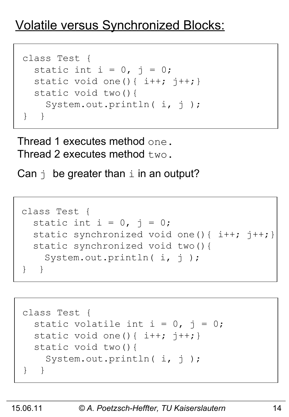### Volatile versus Synchronized Blocks:

```
class Test {
  static int i = 0, j = 0;static void one(){ i++; j++)}
   static void two(){
   System.out.println( i, j);
} }
```
Thread 1 executes method one. Thread 2 executes method  $t_{WQ}$ .

Can  $\vdash$  be greater than  $\bot$  in an output?

```
class Test {
  static int i = 0, j = 0;static synchronized void one(){ i++; j++) static synchronized void two(){
    System.out.println( i, j);
} }
```

```
class Test {
  static volatile int i = 0, j = 0;
 static void one(){ i++; j++) static void two(){
   System.out.println( i, j);
} }
```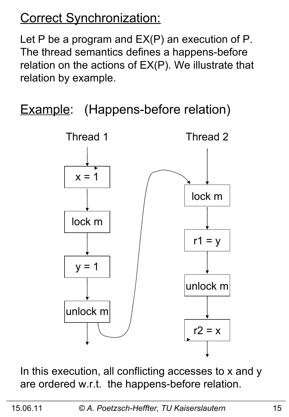### Correct Synchronization:

Let P be a program and  $EX(P)$  an execution of P. The thread semantics defines a happens-before relation on the actions of EX(P). We illustrate that relation by example.

**Example:** (Happens-before relation)



In this execution, all conflicting accesses to x and y are ordered w.r.t. the happens-before relation.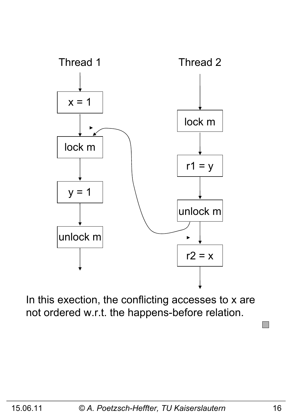

In this exection, the conflicting accesses to x are not ordered w.r.t. the happens-before relation.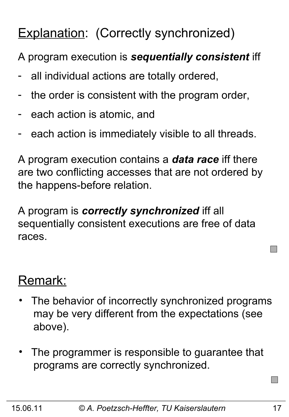### Explanation: (Correctly synchronized)

A program execution is *sequentially consistent* iff

- all individual actions are totally ordered,
- the order is consistent with the program order,
- each action is atomic, and
- each action is immediately visible to all threads.

A program execution contains a *data race* iff there are two conflicting accesses that are not ordered by the happens-before relation.

A program is *correctly synchronized* iff all sequentially consistent executions are free of data races.

### Remark:

- The behavior of incorrectly synchronized programs may be very different from the expectations (see above).
- The programmer is responsible to guarantee that programs are correctly synchronized.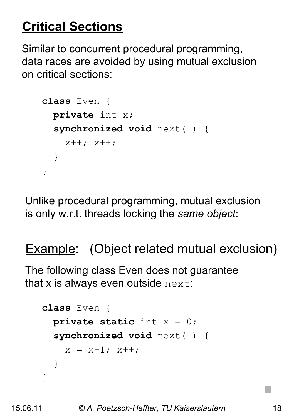### **Critical Sections**

Similar to concurrent procedural programming, data races are avoided by using mutual exclusion on critical sections:

```
class Even {
   private int x;
   synchronized void next( ) { 
     x++; x++;
   }
}
```
Unlike procedural programming, mutual exclusion is only w.r.t. threads locking the *same object*:

### **Example:** (Object related mutual exclusion)

The following class Even does not guarantee that  $x$  is always even outside  $next$ :

```
class Even {
   private static int x = 0;
   synchronized void next( ) { 
    x = x+1; x++; }
}
```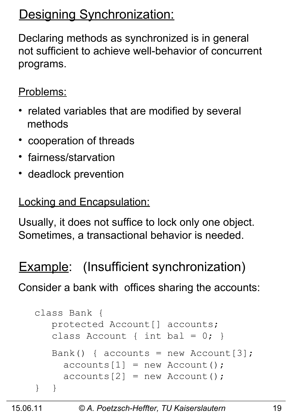### Designing Synchronization:

Declaring methods as synchronized is in general not sufficient to achieve well-behavior of concurrent programs.

Problems:

- related variables that are modified by several methods
- cooperation of threads
- fairness/starvation
- deadlock prevention

Locking and Encapsulation:

Usually, it does not suffice to lock only one object. Sometimes, a transactional behavior is needed.

Example: (Insufficient synchronization)

Consider a bank with offices sharing the accounts:

```
class Bank {
    protected Account[] accounts; 
   class Account { int bal = 0; }
   Bank() { accounts = new Account[3];
     acccounts[1] = new Account();
     acccounts[2] = new Account();
} }
```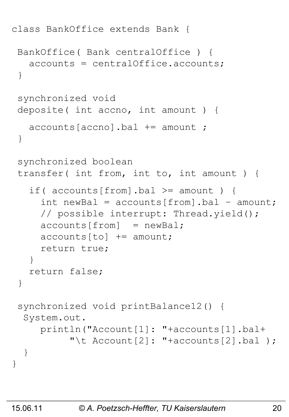```
class BankOffice extends Bank {
 BankOffice( Bank centralOffice ) {
    accounts = centralOffice.accounts;
 }
 synchronized void 
 deposite( int accno, int amount ) {
    accounts[accno].bal += amount ; 
 }
 synchronized boolean
 transfer( int from, int to, int amount ) {
   if( accounts[from].bal >= amount) {
     int newBal = accounds[from] .bal - amount; // possible interrupt: Thread.yield();
     acccounts[from] = newBal;acccounts[to] += amount; return true;
    }
    return false;
 }
 synchronized void printBalance12() {
   System.out.
      println("Account[1]: "+accounts[1].bal+
          "\t Account [2]: "+accounts [2].bal );
   }
}
```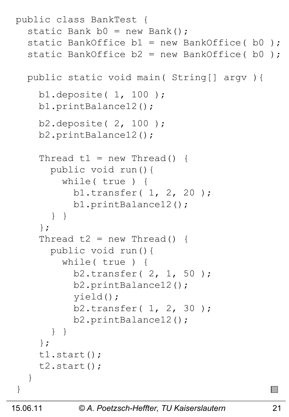```
public class BankTest {
  static Bank b0 = new Bank();
  static BankOffice b1 = new BankOffice( b0);
  static BankOffice b2 = new BankOffice( b0); public static void main( String[] argv ){ 
     b1.deposite( 1, 100 );
     b1.printBalance12();
     b2.deposite( 2, 100 );
     b2.printBalance12();
    Thread t1 = new Thread() {
       public void run(){
         while( true ) {
           b1.transfer( 1, 2, 20 );
           b1.printBalance12();
       } }
     };
    Thread t2 = new Thread() {
       public void run(){
         while( true ) {
           b2.transfer( 2, 1, 50 );
           b2.printBalance12();
           yield();
           b2.transfer( 1, 2, 30 );
           b2.printBalance12();
       } } 
     };
     t1.start();
     t2.start();
   }
}
```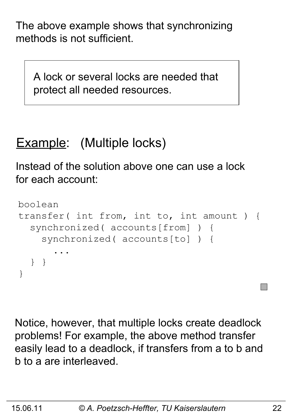The above example shows that synchronizing methods is not sufficient.

 A lock or several locks are needed that protect all needed resources.

### Example: (Multiple locks)

Instead of the solution above one can use a lock for each account:

```
boolean 
transfer( int from, int to, int amount ) {
   synchronized( accounts[from] ) {
     synchronized( accounts[to] ) {
 ...
   } }
}
```
Notice, however, that multiple locks create deadlock problems! For example, the above method transfer easily lead to a deadlock, if transfers from a to b and b to a are interleaved.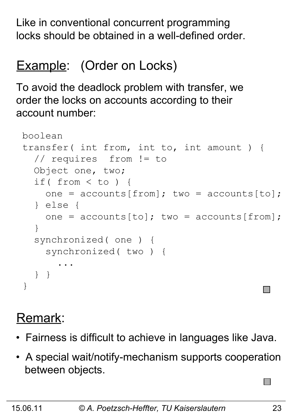Like in conventional concurrent programming locks should be obtained in a well-defined order.

### Example: (Order on Locks)

To avoid the deadlock problem with transfer, we order the locks on accounts according to their account number:

```
boolean 
transfer( int from, int to, int amount ) {
   // requires from != to
   Object one, two;
   if( from < to ) {
    one = accounds[from]; two = accounds[to];
   } else {
    one = accounts[to]; two = accounts[from]; }
   synchronized( one ) {
     synchronized( two ) {
 ...
   } }
}
```
### Remark:

- Fairness is difficult to achieve in languages like Java.
- A special wait/notify-mechanism supports cooperation between objects.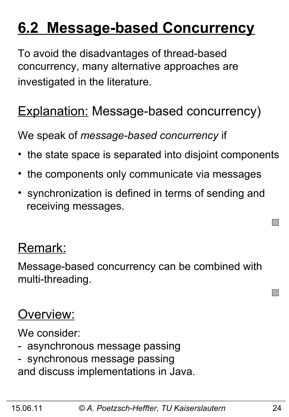## **6.2 Message-based Concurrency**

To avoid the disadvantages of thread-based concurrency, many alternative approaches are investigated in the literature.

### **Explanation: Message-based concurrency)**

We speak of *message-based concurrency* if

- the state space is separated into disjoint components
- the components only communicate via messages
- synchronization is defined in terms of sending and receiving messages.

### Remark:

Message-based concurrency can be combined with multi-threading.

### Overview:

We consider:

- asynchronous message passing
- synchronous message passing and discuss implementations in Java.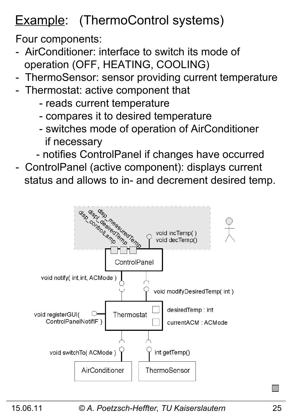### Example: (ThermoControl systems)

Four components:

- AirConditioner: interface to switch its mode of operation (OFF, HEATING, COOLING)
- ThermoSensor: sensor providing current temperature
- Thermostat: active component that
	- reads current temperature
	- compares it to desired temperature
	- switches mode of operation of AirConditioner if necessary
	- notifies ControlPanel if changes have occurred
- ControlPanel (active component): displays current status and allows to in- and decrement desired temp.

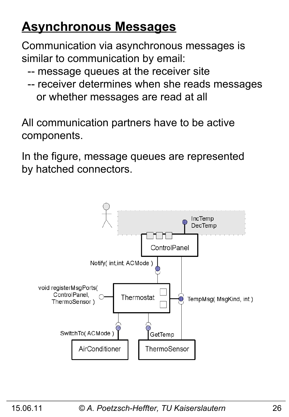### **Asynchronous Messages**

Communication via asynchronous messages is similar to communication by email:

- -- message queues at the receiver site
- -- receiver determines when she reads messages or whether messages are read at all

All communication partners have to be active components.

In the figure, message queues are represented by hatched connectors.

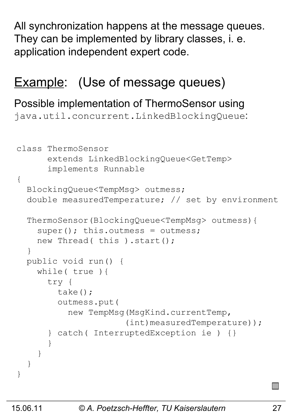All synchronization happens at the message queues. They can be implemented by library classes, i. e. application independent expert code.

### **Example:** (Use of message queues)

#### Possible implementation of ThermoSensor using

java.util.concurrent.LinkedBlockingQueue:

```
class ThermoSensor 
       extends LinkedBlockingQueue<GetTemp> 
       implements Runnable
{
   BlockingQueue<TempMsg> outmess; 
   double measuredTemperature; // set by environment 
   ThermoSensor(BlockingQueue<TempMsg> outmess){
    super(); this.outmess = outmess;
    new Thread( this ).start();
   }
   public void run() {
     while( true ){
       try {
         take();
         outmess.put( 
           new TempMsg(MsgKind.currentTemp,
                        (int)measuredTemperature));
       } catch( InterruptedException ie ) {}
 }
     }
   }
}
```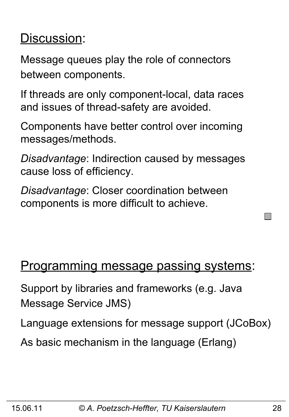### Discussion:

Message queues play the role of connectors between components.

If threads are only component-local, data races and issues of thread-safety are avoided.

Components have better control over incoming messages/methods.

*Disadvantage*: Indirection caused by messages cause loss of efficiency.

*Disadvantage*: Closer coordination between components is more difficult to achieve.

### Programming message passing systems:

Support by libraries and frameworks (e.g. Java Message Service JMS)

Language extensions for message support (JCoBox)

As basic mechanism in the language (Erlang)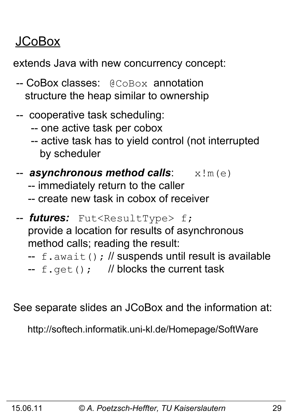### JCoBox

extends Java with new concurrency concept:

- -- CoBox classes: @CoBox annotation structure the heap similar to ownership
- -- cooperative task scheduling:
	- -- one active task per cobox
	- -- active task has to yield control (not interrupted by scheduler
- -- **asynchronous method calls**:  $x \,$ !m(e)
	- -- immediately return to the caller
	- -- create new task in cobox of receiver
- -- *futures:* Fut<ResultType> f; provide a location for results of asynchronous method calls; reading the result:
	- $-$  f.await(); // suspends until result is available
	- --  $f.get()$ ; // blocks the current task

See separate slides an JCoBox and the information at:

http://softech.informatik.uni-kl.de/Homepage/SoftWare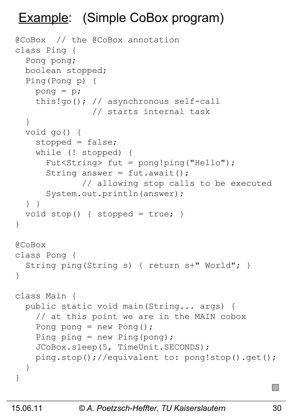### Example: (Simple CoBox program)

```
@CoBox // the @CoBox annotation 
class Ping {
   Pong pong;
   boolean stopped;
   Ping(Pong p) {
     pong = p;
     this!go(); // asynchronous self-call
                 // starts internal task
   }
   void go() {
     stopped = false;
     while (! stopped) {
       Fut<String> fut = pong!ping("Hello"); 
      String answer = fut.awt();
               // allowing stop calls to be executed 
       System.out.println(answer);
   } }
  void stop() { stopped = true; }
}
@CoBox 
class Pong {
   String ping(String s) { return s+" World"; }
}
class Main {
   public static void main(String... args) {
     // at this point we are in the MAIN cobox
    Pong pong = new Pong();
    Ping ping = new Ping(pong);
     JCoBox.sleep(5, TimeUnit.SECONDS);
     ping.stop();//equivalent to: pong!stop().get();
   }
}
```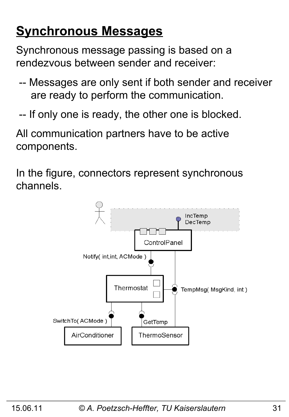### **Synchronous Messages**

Synchronous message passing is based on a rendezvous between sender and receiver:

- -- Messages are only sent if both sender and receiver are ready to perform the communication.
- -- If only one is ready, the other one is blocked.

All communication partners have to be active components.

In the figure, connectors represent synchronous channels.

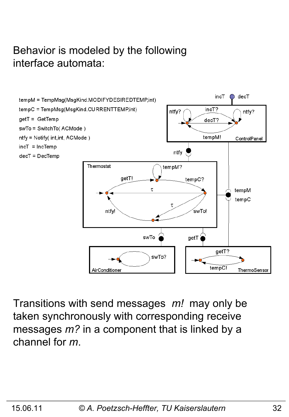#### Behavior is modeled by the following interface automata:



Transitions with send messages *m!* may only be taken synchronously with corresponding receive messages *m?* in a component that is linked by a channel for *m*.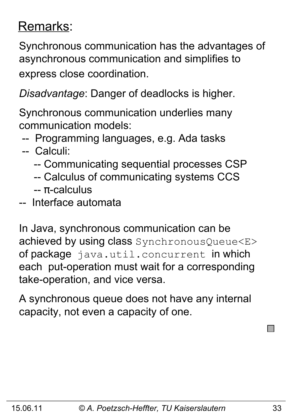### Remarks:

Synchronous communication has the advantages of asynchronous communication and simplifies to express close coordination.

*Disadvantage*: Danger of deadlocks is higher.

Synchronous communication underlies many communication models:

-- Programming languages, e.g. Ada tasks

#### -- Calculi:

- -- Communicating sequential processes CSP
- -- Calculus of communicating systems CCS
- -- π-calculus
- -- Interface automata

In Java, synchronous communication can be achieved by using class SynchronousQueue<E> of package java.util.concurrent in which each put-operation must wait for a corresponding take-operation, and vice versa.

A synchronous queue does not have any internal capacity, not even a capacity of one.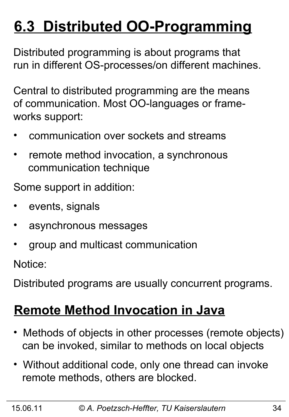# **6.3 Distributed OO-Programming**

Distributed programming is about programs that run in different OS-processes/on different machines.

Central to distributed programming are the means of communication. Most OO-languages or frameworks support:

- communication over sockets and streams
- remote method invocation, a synchronous communication technique

Some support in addition:

- events, signals
- asynchronous messages
- group and multicast communication

Notice:

Distributed programs are usually concurrent programs.

### **Remote Method Invocation in Java**

- Methods of objects in other processes (remote objects) can be invoked, similar to methods on local objects
- Without additional code, only one thread can invoke remote methods, others are blocked.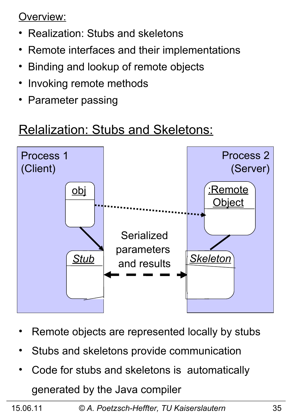Overview:

- Realization: Stubs and skeletons
- Remote interfaces and their implementations
- Binding and lookup of remote objects
- Invoking remote methods
- Parameter passing

### Relalization: Stubs and Skeletons:



- Remote objects are represented locally by stubs
- Stubs and skeletons provide communication
- Code for stubs and skeletons is automatically generated by the Java compiler

15.06.11 *© A. Poetzsch-Heffter, TU Kaiserslautern* 35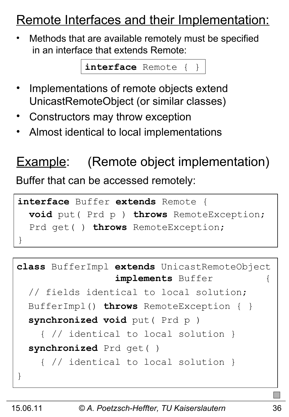### Remote Interfaces and their Implementation:

• Methods that are available remotely must be specified in an interface that extends Remote:

**interface** Remote { }

- Implementations of remote objects extend UnicastRemoteObject (or similar classes)
- Constructors may throw exception
- Almost identical to local implementations

### **Example:** (Remote object implementation)

Buffer that can be accessed remotely:

```
interface Buffer extends Remote {
   void put( Prd p ) throws RemoteException;
   Prd get( ) throws RemoteException;
}
```

```
class BufferImpl extends UnicastRemoteObject 
                  implements Buffer {
   // fields identical to local solution;
   BufferImpl() throws RemoteException { }
   synchronized void put( Prd p ) 
     { // identical to local solution }
   synchronized Prd get( ) 
     { // identical to local solution }
}
```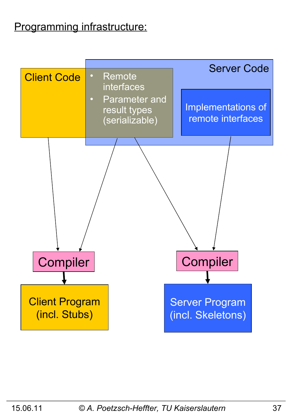### Programming infrastructure:

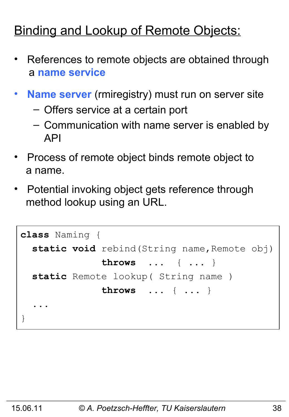### **Binding and Lookup of Remote Objects:**

- References to remote objects are obtained through a **name service**
- **Name server** (rmiregistry) must run on server site
	- Offers service at a certain port
	- Communication with name server is enabled by API
- Process of remote object binds remote object to a name.
- Potential invoking object gets reference through method lookup using an URL.

```
class Naming {
  static void rebind (String name, Remote obj)
               throws ... { ... }
   static Remote lookup( String name )
               throws ... { ... }
 ...
}
```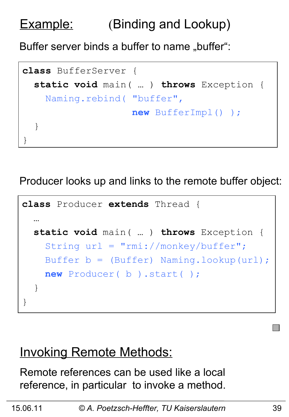### Example: (Binding and Lookup)

Buffer server binds a buffer to name "buffer":

```
class BufferServer {
   static void main( … ) throws Exception {
     Naming.rebind( "buffer",
                     new BufferImpl() );
   }
}
```
Producer looks up and links to the remote buffer object:

```
class Producer extends Thread {
 …
   static void main( … ) throws Exception {
     String url = "rmi://monkey/buffer";
     Buffer b = (Buffer) Naming.lookup(url);
     new Producer( b ).start( );
   }
}
```
### **Invoking Remote Methods:**

Remote references can be used like a local reference, in particular to invoke a method.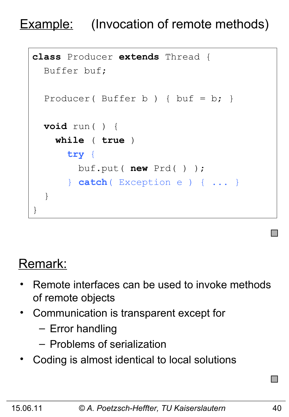### **Example:** (Invocation of remote methods)

```
class Producer extends Thread {
   Buffer buf;
  Producer( Buffer b ) { buf = b; }
   void run( ) {
     while ( true )
       try {
         buf.put( new Prd( ) ); 
       } catch( Exception e ) { ... }
   }
}
```
### Remark:

- Remote interfaces can be used to invoke methods of remote objects
- Communication is transparent except for
	- Error handling
	- Problems of serialization
- Coding is almost identical to local solutions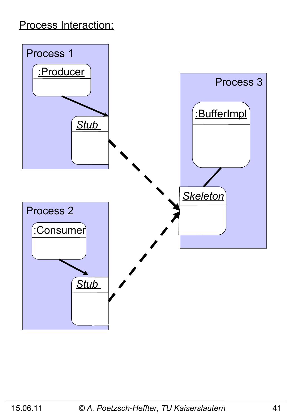#### Process Interaction:

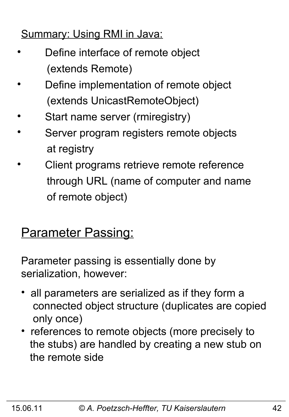### Summary: Using RMI in Java:

- Define interface of remote object (extends Remote)
- Define implementation of remote object (extends UnicastRemoteObject)
- Start name server (rmiregistry)
- Server program registers remote objects at registry
- Client programs retrieve remote reference through URL (name of computer and name of remote object)

### **Parameter Passing:**

Parameter passing is essentially done by serialization, however:

- all parameters are serialized as if they form a connected object structure (duplicates are copied only once)
- references to remote objects (more precisely to the stubs) are handled by creating a new stub on the remote side